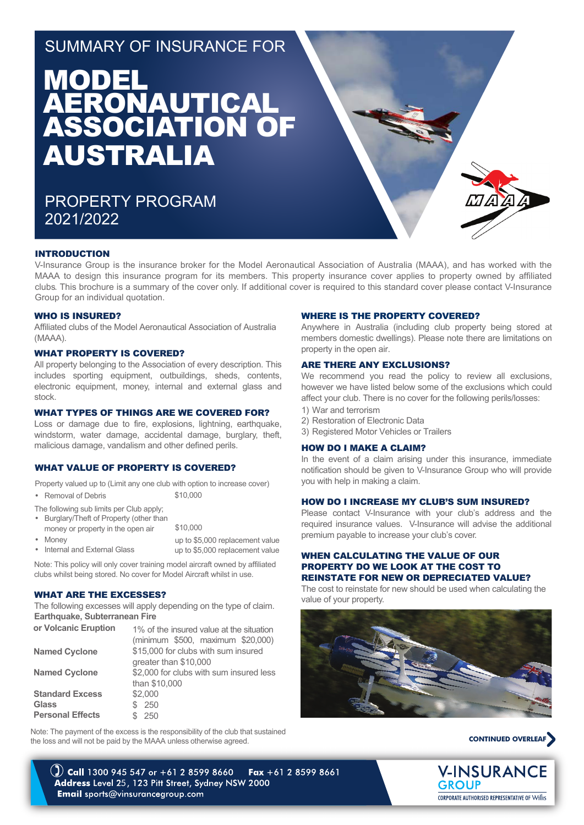## SUMMARY OF INSURANCE FOR

# **MODEL** AERONAUTICAL ASSOCIATION OF AUSTRALIA

PROPERTY PROGRAM 2021/2022



#### INTRODUCTION

V-Insurance Group is the insurance broker for the Model Aeronautical Association of Australia (MAAA), and has worked with the MAAA to design this insurance program for its members. This property insurance cover applies to property owned by affiliated clubs. This brochure is a summary of the cover only. If additional cover is required to this standard cover please contact V-Insurance Group for an individual quotation.

#### WHO IS INSURED?

Affiliated clubs of the Model Aeronautical Association of Australia (MAAA).

#### WHAT PROPERTY IS COVERED?

All property belonging to the Association of every description. This includes sporting equipment, outbuildings, sheds, contents, electronic equipment, money, internal and external glass and stock.

#### WHAT TYPES OF THINGS ARE WE COVERED FOR?

Loss or damage due to fire, explosions, lightning, earthquake, windstorm, water damage, accidental damage, burglary, theft, malicious damage, vandalism and other defined perils.

#### WHAT VALUE OF PROPERTY IS COVERED?

Property valued up to (Limit any one club with option to increase cover)

\$10,000

- Removal of Debris
- The following sub limits per Club apply;
- \$10,000 • Burglary/Theft of Property (other than money or property in the open air
- Money
	- Internal and External Glass up to \$5,000 replacement value up to \$5,000 replacement value

Note: This policy will only cover training model aircraft owned by affiliated clubs whilst being stored. No cover for Model Aircraft whilst in use.

#### WHAT ARE THE EXCESSES?

The following excesses will apply depending on the type of claim. **Earthquake, Subterranean Fire** 

| or Volcanic Eruption    | 1% of the insured value at the situation |  |
|-------------------------|------------------------------------------|--|
|                         | (minimum \$500, maximum \$20,000)        |  |
| <b>Named Cyclone</b>    | \$15,000 for clubs with sum insured      |  |
|                         | greater than \$10,000                    |  |
| <b>Named Cyclone</b>    | \$2,000 for clubs with sum insured less  |  |
|                         | than \$10,000                            |  |
| <b>Standard Excess</b>  | \$2,000                                  |  |
| Glass                   | \$250                                    |  |
| <b>Personal Effects</b> | 250                                      |  |

Note: The payment of the excess is the responsibility of the club that sustained the loss and will not be paid by the MAAA unless otherwise agreed.

#### WHERE IS THE PROPERTY COVERED?

Anywhere in Australia (including club property being stored at members domestic dwellings). Please note there are limitations on property in the open air.

#### ARE THERE ANY EXCLUSIONS?

We recommend you read the policy to review all exclusions, however we have listed below some of the exclusions which could affect your club. There is no cover for the following perils/losses:

- 1) War and terrorism
- 2) Restoration of Electronic Data
- 3) Registered Motor Vehicles or Trailers

#### HOW DO I MAKE A CLAIM?

In the event of a claim arising under this insurance, immediate notification should be given to V-Insurance Group who will provide you with help in making a claim.

#### HOW DO I INCREASE MY CLUB'S SUM INSURED?

Please contact V-Insurance with your club's address and the required insurance values. V-Insurance will advise the additional premium payable to increase your club's cover.

#### WHEN CALCULATING THE VALUE OF OUR PROPERTY DO WE LOOK AT THE COST TO REINSTATE FOR NEW OR DEPRECIATED VALUE?

The cost to reinstate for new should be used when calculating the value of your property.





**V-INSURANCE GROUP CORPORATE AUTHORISED REPRESENTATIVE OF Willis** 

(2) Call 1300 945 547 or +61 2 8599 8660 Fax  $+61$  2 8599 8661 Address Level 25, 123 Pitt Street, Sydney NSW 2000 Email sports@vinsurancegroup.com